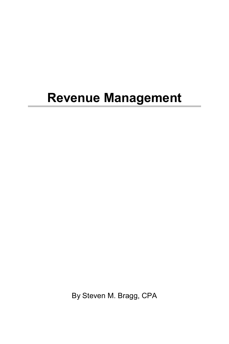## **Revenue Management**

By Steven M. Bragg, CPA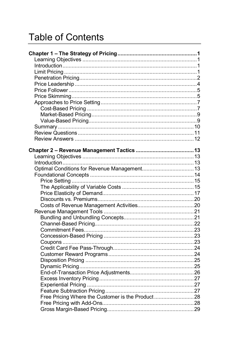## **Table of Contents**